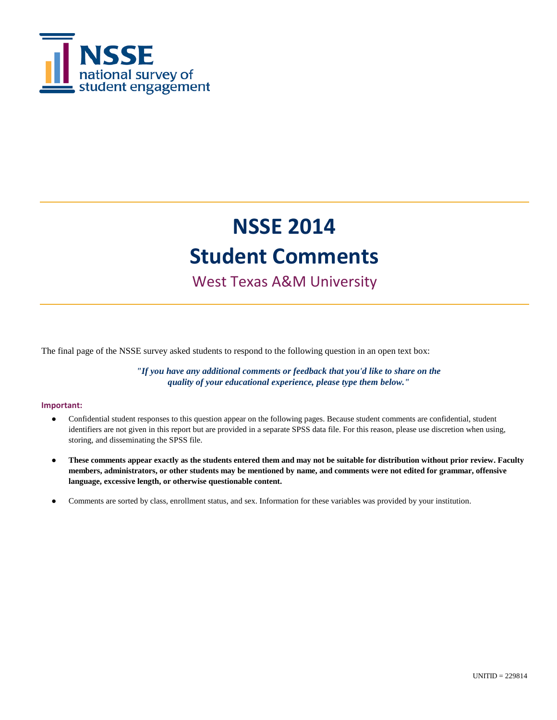

### West Texas A&M University

The final page of the NSSE survey asked students to respond to the following question in an open text box:

*"If you have any additional comments or feedback that you'd like to share on the quality of your educational experience, please type them below."*

#### **Important:**

- Confidential student responses to this question appear on the following pages. Because student comments are confidential, student identifiers are not given in this report but are provided in a separate SPSS data file. For this reason, please use discretion when using, storing, and disseminating the SPSS file.
- **These comments appear exactly as the students entered them and may not be suitable for distribution without prior review. Faculty members, administrators, or other students may be mentioned by name, and comments were not edited for grammar, offensive language, excessive length, or otherwise questionable content.**
- Comments are sorted by class, enrollment status, and sex. Information for these variables was provided by your institution.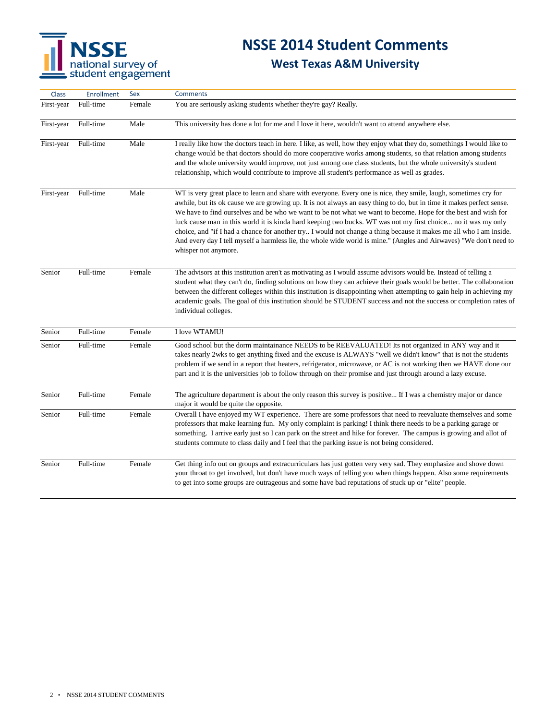# NSSE<br>
national survey of<br>
student engagement

# **NSSE 2014 Student Comments**

| Class      | <b>Enrollment</b> | Sex    | <b>Comments</b>                                                                                                                                                                                                                                                                                                                                                                                                                                                                                                                                                                                                                                                                                                                                 |
|------------|-------------------|--------|-------------------------------------------------------------------------------------------------------------------------------------------------------------------------------------------------------------------------------------------------------------------------------------------------------------------------------------------------------------------------------------------------------------------------------------------------------------------------------------------------------------------------------------------------------------------------------------------------------------------------------------------------------------------------------------------------------------------------------------------------|
| First-year | Full-time         | Female | You are seriously asking students whether they're gay? Really.                                                                                                                                                                                                                                                                                                                                                                                                                                                                                                                                                                                                                                                                                  |
| First-year | Full-time         | Male   | This university has done a lot for me and I love it here, wouldn't want to attend anywhere else.                                                                                                                                                                                                                                                                                                                                                                                                                                                                                                                                                                                                                                                |
| First-year | Full-time         | Male   | I really like how the doctors teach in here. I like, as well, how they enjoy what they do, somethings I would like to<br>change would be that doctors should do more cooperative works among students, so that relation among students<br>and the whole university would improve, not just among one class students, but the whole university's student<br>relationship, which would contribute to improve all student's performance as well as grades.                                                                                                                                                                                                                                                                                         |
| First-year | Full-time         | Male   | WT is very great place to learn and share with everyone. Every one is nice, they smile, laugh, sometimes cry for<br>awhile, but its ok cause we are growing up. It is not always an easy thing to do, but in time it makes perfect sense.<br>We have to find ourselves and be who we want to be not what we want to become. Hope for the best and wish for<br>luck cause man in this world it is kinda hard keeping two bucks. WT was not my first choice no it was my only<br>choice, and "if I had a chance for another try I would not change a thing because it makes me all who I am inside.<br>And every day I tell myself a harmless lie, the whole wide world is mine." (Angles and Airwaves) "We don't need to<br>whisper not anymore. |
| Senior     | Full-time         | Female | The advisors at this institution aren't as motivating as I would assume advisors would be. Instead of telling a<br>student what they can't do, finding solutions on how they can achieve their goals would be better. The collaboration<br>between the different colleges within this institution is disappointing when attempting to gain help in achieving my<br>academic goals. The goal of this institution should be STUDENT success and not the success or completion rates of<br>individual colleges.                                                                                                                                                                                                                                    |
| Senior     | Full-time         | Female | I love WTAMU!                                                                                                                                                                                                                                                                                                                                                                                                                                                                                                                                                                                                                                                                                                                                   |
| Senior     | Full-time         | Female | Good school but the dorm maintainance NEEDS to be REEVALUATED! Its not organized in ANY way and it<br>takes nearly 2wks to get anything fixed and the excuse is ALWAYS "well we didn't know" that is not the students<br>problem if we send in a report that heaters, refrigerator, microwave, or AC is not working then we HAVE done our<br>part and it is the universities job to follow through on their promise and just through around a lazy excuse.                                                                                                                                                                                                                                                                                      |
| Senior     | Full-time         | Female | The agriculture department is about the only reason this survey is positive If I was a chemistry major or dance<br>major it would be quite the opposite.                                                                                                                                                                                                                                                                                                                                                                                                                                                                                                                                                                                        |
| Senior     | Full-time         | Female | Overall I have enjoyed my WT experience. There are some professors that need to reevaluate themselves and some<br>professors that make learning fun. My only complaint is parking! I think there needs to be a parking garage or<br>something. I arrive early just so I can park on the street and hike for forever. The campus is growing and allot of<br>students commute to class daily and I feel that the parking issue is not being considered.                                                                                                                                                                                                                                                                                           |
| Senior     | Full-time         | Female | Get thing info out on groups and extracurriculars has just gotten very very sad. They emphasize and shove down<br>your throat to get involved, but don't have much ways of telling you when things happen. Also some requirements<br>to get into some groups are outrageous and some have bad reputations of stuck up or "elite" people.                                                                                                                                                                                                                                                                                                                                                                                                        |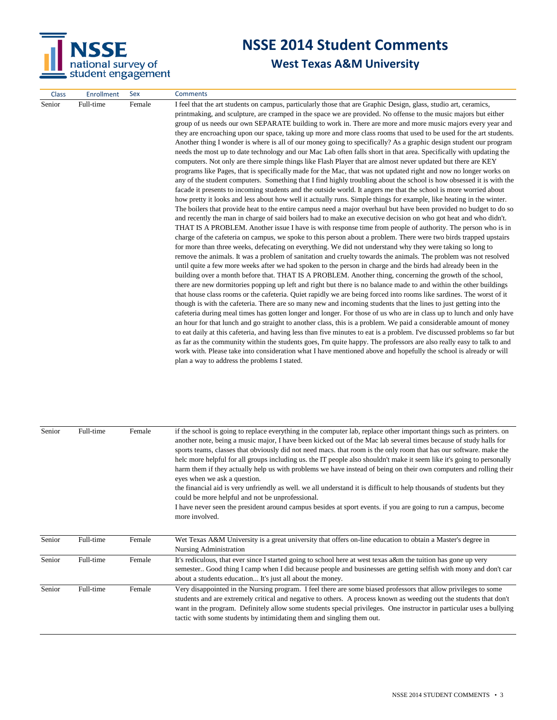

| <b>Class</b> | <b>Enrollment</b> | Sex    | <b>Comments</b>                                                                                                                                                                                                             |
|--------------|-------------------|--------|-----------------------------------------------------------------------------------------------------------------------------------------------------------------------------------------------------------------------------|
| Senior       | Full-time         | Female | I feel that the art students on campus, particularly those that are Graphic Design, glass, studio art, ceramics,                                                                                                            |
|              |                   |        | printmaking, and sculpture, are cramped in the space we are provided. No offense to the music majors but either                                                                                                             |
|              |                   |        | group of us needs our own SEPARATE building to work in. There are more and more music majors every year and                                                                                                                 |
|              |                   |        | they are encroaching upon our space, taking up more and more class rooms that used to be used for the art students.                                                                                                         |
|              |                   |        | Another thing I wonder is where is all of our money going to specifically? As a graphic design student our program                                                                                                          |
|              |                   |        | needs the most up to date technology and our Mac Lab often falls short in that area. Specifically with updating the                                                                                                         |
|              |                   |        | computers. Not only are there simple things like Flash Player that are almost never updated but there are KEY                                                                                                               |
|              |                   |        | programs like Pages, that is specifically made for the Mac, that was not updated right and now no longer works on                                                                                                           |
|              |                   |        | any of the student computers. Something that I find highly troubling about the school is how obsessed it is with the                                                                                                        |
|              |                   |        | facade it presents to incoming students and the outside world. It angers me that the school is more worried about                                                                                                           |
|              |                   |        | how pretty it looks and less about how well it actually runs. Simple things for example, like heating in the winter.                                                                                                        |
|              |                   |        | The boilers that provide heat to the entire campus need a major overhaul but have been provided no budget to do so                                                                                                          |
|              |                   |        | and recently the man in charge of said boilers had to make an executive decision on who got heat and who didn't.                                                                                                            |
|              |                   |        | THAT IS A PROBLEM. Another issue I have is with response time from people of authority. The person who is in                                                                                                                |
|              |                   |        | charge of the cafeteria on campus, we spoke to this person about a problem. There were two birds trapped upstairs                                                                                                           |
|              |                   |        | for more than three weeks, defecating on everything. We did not understand why they were taking so long to                                                                                                                  |
|              |                   |        | remove the animals. It was a problem of sanitation and cruelty towards the animals. The problem was not resolved                                                                                                            |
|              |                   |        | until quite a few more weeks after we had spoken to the person in charge and the birds had already been in the<br>building over a month before that. THAT IS A PROBLEM. Another thing, concerning the growth of the school, |
|              |                   |        | there are new dormitories popping up left and right but there is no balance made to and within the other buildings                                                                                                          |
|              |                   |        | that house class rooms or the cafeteria. Quiet rapidly we are being forced into rooms like sardines. The worst of it                                                                                                        |
|              |                   |        | though is with the cafeteria. There are so many new and incoming students that the lines to just getting into the                                                                                                           |
|              |                   |        | cafeteria during meal times has gotten longer and longer. For those of us who are in class up to lunch and only have                                                                                                        |
|              |                   |        | an hour for that lunch and go straight to another class, this is a problem. We paid a considerable amount of money                                                                                                          |
|              |                   |        | to eat daily at this cafeteria, and having less than five minutes to eat is a problem. I've discussed problems so far but                                                                                                   |
|              |                   |        | as far as the community within the students goes, I'm quite happy. The professors are also really easy to talk to and                                                                                                       |
|              |                   |        | work with. Please take into consideration what I have mentioned above and hopefully the school is already or will                                                                                                           |
|              |                   |        | plan a way to address the problems I stated.                                                                                                                                                                                |
|              |                   |        |                                                                                                                                                                                                                             |

| Senior | Full-time | Female | if the school is going to replace everything in the computer lab, replace other important things such as printers, on<br>another note, being a music major, I have been kicked out of the Mac lab several times because of study halls for<br>sports teams, classes that obviously did not need macs, that room is the only room that has our software, make the<br>helc more helpful for all groups including us. the IT people also shouldn't make it seem like it's going to personally<br>harm them if they actually help us with problems we have instead of being on their own computers and rolling their<br>eyes when we ask a question.<br>the financial aid is very unfriendly as well. we all understand it is difficult to help thousands of students but they<br>could be more helpful and not be unprofessional.<br>I have never seen the president around campus besides at sport events. if you are going to run a campus, become<br>more involved. |
|--------|-----------|--------|---------------------------------------------------------------------------------------------------------------------------------------------------------------------------------------------------------------------------------------------------------------------------------------------------------------------------------------------------------------------------------------------------------------------------------------------------------------------------------------------------------------------------------------------------------------------------------------------------------------------------------------------------------------------------------------------------------------------------------------------------------------------------------------------------------------------------------------------------------------------------------------------------------------------------------------------------------------------|
| Senior | Full-time | Female | Wet Texas A&M University is a great university that offers on-line education to obtain a Master's degree in<br>Nursing Administration                                                                                                                                                                                                                                                                                                                                                                                                                                                                                                                                                                                                                                                                                                                                                                                                                               |
| Senior | Full-time | Female | It's rediculous, that ever since I started going to school here at west texas a&m the tuition has gone up very<br>semester Good thing I camp when I did because people and businesses are getting selfish with mony and don't car<br>about a students education It's just all about the money.                                                                                                                                                                                                                                                                                                                                                                                                                                                                                                                                                                                                                                                                      |
| Senior | Full-time | Female | Very disappointed in the Nursing program. I feel there are some biased professors that allow privileges to some<br>students and are extremely critical and negative to others. A process known as weeding out the students that don't<br>want in the program. Definitely allow some students special privileges. One instructor in particular uses a bullying<br>tactic with some students by intimidating them and singling them out.                                                                                                                                                                                                                                                                                                                                                                                                                                                                                                                              |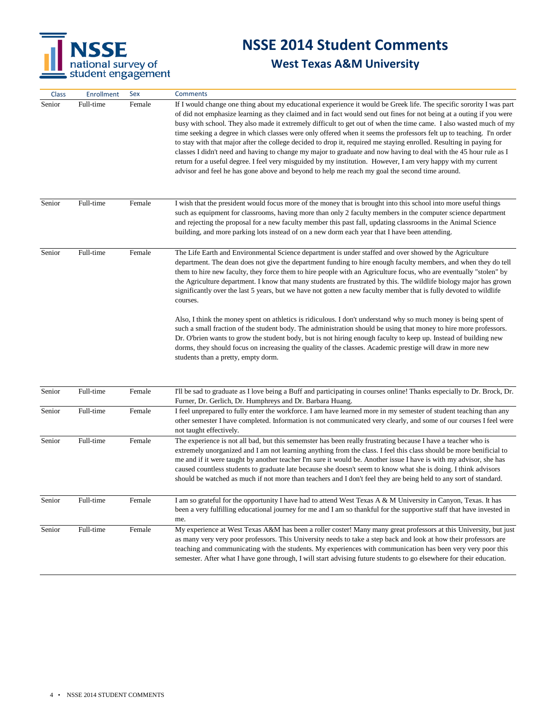

| Class  | Enrollment | Sex    | <b>Comments</b>                                                                                                                                                                                                                                                                                                                                                                                                                                                                                                                                                                                                                                                                                                                                                                                                                                                                                                                                                                                                                                                                                                            |
|--------|------------|--------|----------------------------------------------------------------------------------------------------------------------------------------------------------------------------------------------------------------------------------------------------------------------------------------------------------------------------------------------------------------------------------------------------------------------------------------------------------------------------------------------------------------------------------------------------------------------------------------------------------------------------------------------------------------------------------------------------------------------------------------------------------------------------------------------------------------------------------------------------------------------------------------------------------------------------------------------------------------------------------------------------------------------------------------------------------------------------------------------------------------------------|
| Senior | Full-time  | Female | If I would change one thing about my educational experience it would be Greek life. The specific sorority I was part<br>of did not emphasize learning as they claimed and in fact would send out fines for not being at a outing if you were<br>busy with school. They also made it extremely difficult to get out of when the time came. I also wasted much of my<br>time seeking a degree in which classes were only offered when it seems the professors felt up to teaching. I'n order<br>to stay with that major after the college decided to drop it, required me staying enrolled. Resulting in paying for<br>classes I didn't need and having to change my major to graduate and now having to deal with the 45 hour rule as I<br>return for a useful degree. I feel very misguided by my institution. However, I am very happy with my current<br>advisor and feel he has gone above and beyond to help me reach my goal the second time around.                                                                                                                                                                  |
| Senior | Full-time  | Female | I wish that the president would focus more of the money that is brought into this school into more useful things<br>such as equipment for classrooms, having more than only 2 faculty members in the computer science department<br>and rejecting the proposal for a new faculty member this past fall, updating classrooms in the Animal Science<br>building, and more parking lots instead of on a new dorm each year that I have been attending.                                                                                                                                                                                                                                                                                                                                                                                                                                                                                                                                                                                                                                                                        |
| Senior | Full-time  | Female | The Life Earth and Environmental Science department is under staffed and over showed by the Agriculture<br>department. The dean does not give the department funding to hire enough faculty members, and when they do tell<br>them to hire new faculty, they force them to hire people with an Agriculture focus, who are eventually "stolen" by<br>the Agriculture department. I know that many students are frustrated by this. The wildlife biology major has grown<br>significantly over the last 5 years, but we have not gotten a new faculty member that is fully devoted to wildlife<br>courses.<br>Also, I think the money spent on athletics is ridiculous. I don't understand why so much money is being spent of<br>such a small fraction of the student body. The administration should be using that money to hire more professors.<br>Dr. O'brien wants to grow the student body, but is not hiring enough faculty to keep up. Instead of building new<br>dorms, they should focus on increasing the quality of the classes. Academic prestige will draw in more new<br>students than a pretty, empty dorm. |
| Senior | Full-time  | Female | I'll be sad to graduate as I love being a Buff and participating in courses online! Thanks especially to Dr. Brock, Dr.<br>Furner, Dr. Gerlich, Dr. Humphreys and Dr. Barbara Huang.                                                                                                                                                                                                                                                                                                                                                                                                                                                                                                                                                                                                                                                                                                                                                                                                                                                                                                                                       |
| Senior | Full-time  | Female | I feel unprepared to fully enter the workforce. I am have learned more in my semester of student teaching than any<br>other semester I have completed. Information is not communicated very clearly, and some of our courses I feel were<br>not taught effectively.                                                                                                                                                                                                                                                                                                                                                                                                                                                                                                                                                                                                                                                                                                                                                                                                                                                        |
| Senior | Full-time  | Female | The experience is not all bad, but this sememster has been really frustrating because I have a teacher who is<br>extremely unorganized and I am not learning anything from the class. I feel this class should be more benificial to<br>me and if it were taught by another teacher I'm sure it would be. Another issue I have is with my advisor, she has<br>caused countless students to graduate late because she doesn't seem to know what she is doing. I think advisors<br>should be watched as much if not more than teachers and I don't feel they are being held to any sort of standard.                                                                                                                                                                                                                                                                                                                                                                                                                                                                                                                         |
| Senior | Full-time  | Female | I am so grateful for the opportunity I have had to attend West Texas A & M University in Canyon, Texas. It has<br>been a very fulfilling educational journey for me and I am so thankful for the supportive staff that have invested in<br>me.                                                                                                                                                                                                                                                                                                                                                                                                                                                                                                                                                                                                                                                                                                                                                                                                                                                                             |
| Senior | Full-time  | Female | My experience at West Texas A&M has been a roller coster! Many many great professors at this University, but just<br>as many very very poor professors. This University needs to take a step back and look at how their professors are<br>teaching and communicating with the students. My experiences with communication has been very very poor this<br>semester. After what I have gone through, I will start advising future students to go elsewhere for their education.                                                                                                                                                                                                                                                                                                                                                                                                                                                                                                                                                                                                                                             |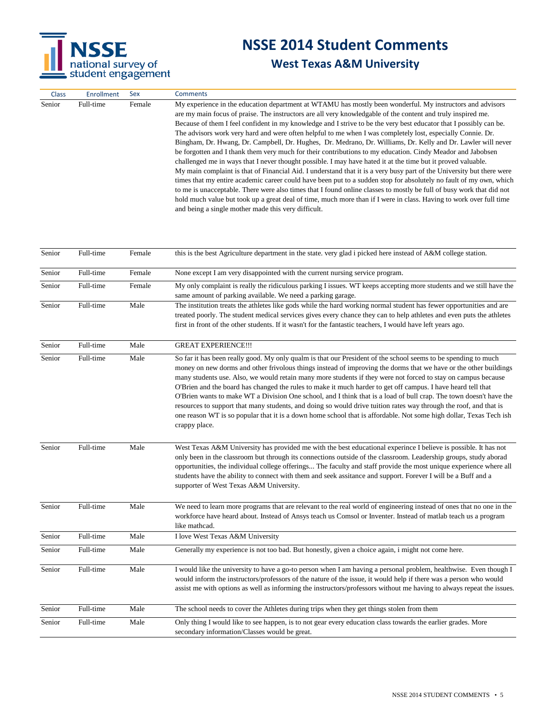

| Class  | Enrollment | Sex    | <b>Comments</b>                                                                                                                                                                                                                                                                                                                                                                                                                                                                                                                                                                                                                                                                                                                                                                                                                                                                                                                                                                                                                                                                                                                                                                                                                                                                                                                                                  |
|--------|------------|--------|------------------------------------------------------------------------------------------------------------------------------------------------------------------------------------------------------------------------------------------------------------------------------------------------------------------------------------------------------------------------------------------------------------------------------------------------------------------------------------------------------------------------------------------------------------------------------------------------------------------------------------------------------------------------------------------------------------------------------------------------------------------------------------------------------------------------------------------------------------------------------------------------------------------------------------------------------------------------------------------------------------------------------------------------------------------------------------------------------------------------------------------------------------------------------------------------------------------------------------------------------------------------------------------------------------------------------------------------------------------|
| Senior | Full-time  | Female | My experience in the education department at WTAMU has mostly been wonderful. My instructors and advisors<br>are my main focus of praise. The instructors are all very knowledgable of the content and truly inspired me.<br>Because of them I feel confident in my knowledge and I strive to be the very best educator that I possibly can be.<br>The advisors work very hard and were often helpful to me when I was completely lost, especially Connie. Dr.<br>Bingham, Dr. Hwang, Dr. Campbell, Dr. Hughes, Dr. Medrano, Dr. Williams, Dr. Kelly and Dr. Lawler will never<br>be forgotten and I thank them very much for their contributions to my education. Cindy Meador and Jabobsen<br>challenged me in ways that I never thought possible. I may have hated it at the time but it proved valuable.<br>My main complaint is that of Financial Aid. I understand that it is a very busy part of the University but there were<br>times that my entire academic career could have been put to a sudden stop for absolutely no fault of my own, which<br>to me is unacceptable. There were also times that I found online classes to mostly be full of busy work that did not<br>hold much value but took up a great deal of time, much more than if I were in class. Having to work over full time<br>and being a single mother made this very difficult. |
| Senior | Full-time  | Female | this is the best Agriculture department in the state. very glad i picked here instead of A&M college station.                                                                                                                                                                                                                                                                                                                                                                                                                                                                                                                                                                                                                                                                                                                                                                                                                                                                                                                                                                                                                                                                                                                                                                                                                                                    |
| Senior | Full-time  | Female | None except I am very disappointed with the current nursing service program.                                                                                                                                                                                                                                                                                                                                                                                                                                                                                                                                                                                                                                                                                                                                                                                                                                                                                                                                                                                                                                                                                                                                                                                                                                                                                     |
| Senior | Full-time  | Female | My only complaint is really the ridiculous parking I issues. WT keeps accepting more students and we still have the<br>same amount of parking available. We need a parking garage.                                                                                                                                                                                                                                                                                                                                                                                                                                                                                                                                                                                                                                                                                                                                                                                                                                                                                                                                                                                                                                                                                                                                                                               |
| Senior | Full-time  | Male   | The institution treats the athletes like gods while the hard working normal student has fewer opportunities and are<br>treated poorly. The student medical services gives every chance they can to help athletes and even puts the athletes<br>first in front of the other students. If it wasn't for the fantastic teachers, I would have left years ago.                                                                                                                                                                                                                                                                                                                                                                                                                                                                                                                                                                                                                                                                                                                                                                                                                                                                                                                                                                                                       |
| Senior | Full-time  | Male   | <b>GREAT EXPERIENCE!!!</b>                                                                                                                                                                                                                                                                                                                                                                                                                                                                                                                                                                                                                                                                                                                                                                                                                                                                                                                                                                                                                                                                                                                                                                                                                                                                                                                                       |
| Senior | Full-time  | Male   | So far it has been really good. My only qualm is that our President of the school seems to be spending to much<br>money on new dorms and other frivolous things instead of improving the dorms that we have or the other buildings<br>many students use. Also, we would retain many more students if they were not forced to stay on campus because<br>O'Brien and the board has changed the rules to make it much harder to get off campus. I have heard tell that<br>O'Brien wants to make WT a Division One school, and I think that is a load of bull crap. The town doesn't have the<br>resources to support that many students, and doing so would drive tuition rates way through the roof, and that is<br>one reason WT is so popular that it is a down home school that is affordable. Not some high dollar, Texas Tech ish<br>crappy place.                                                                                                                                                                                                                                                                                                                                                                                                                                                                                                            |
| Senior | Full-time  | Male   | West Texas A&M University has provided me with the best educational experince I believe is possible. It has not<br>only been in the classroom but through its connections outside of the classroom. Leadership groups, study aborad<br>opportunities, the individual college offerings The faculty and staff provide the most unique experience where all<br>students have the ability to connect with them and seek assitance and support. Forever I will be a Buff and a<br>supporter of West Texas A&M University.                                                                                                                                                                                                                                                                                                                                                                                                                                                                                                                                                                                                                                                                                                                                                                                                                                            |
| Senior | Full-time  | Male   | We need to learn more programs that are relevant to the real world of engineering instead of ones that no one in the<br>workforce have heard about. Instead of Ansys teach us Comsol or Inventer. Instead of matlab teach us a program<br>like mathcad.                                                                                                                                                                                                                                                                                                                                                                                                                                                                                                                                                                                                                                                                                                                                                                                                                                                                                                                                                                                                                                                                                                          |
| Senior | Full-time  | Male   | I love West Texas A&M University                                                                                                                                                                                                                                                                                                                                                                                                                                                                                                                                                                                                                                                                                                                                                                                                                                                                                                                                                                                                                                                                                                                                                                                                                                                                                                                                 |
| Senior | Full-time  | Male   | Generally my experience is not too bad. But honestly, given a choice again, i might not come here.                                                                                                                                                                                                                                                                                                                                                                                                                                                                                                                                                                                                                                                                                                                                                                                                                                                                                                                                                                                                                                                                                                                                                                                                                                                               |
| Senior | Full-time  | Male   | I would like the university to have a go-to person when I am having a personal problem, healthwise. Even though I<br>would inform the instructors/professors of the nature of the issue, it would help if there was a person who would<br>assist me with options as well as informing the instructors/professors without me having to always repeat the issues.                                                                                                                                                                                                                                                                                                                                                                                                                                                                                                                                                                                                                                                                                                                                                                                                                                                                                                                                                                                                  |
| Senior | Full-time  | Male   | The school needs to cover the Athletes during trips when they get things stolen from them                                                                                                                                                                                                                                                                                                                                                                                                                                                                                                                                                                                                                                                                                                                                                                                                                                                                                                                                                                                                                                                                                                                                                                                                                                                                        |
| Senior | Full-time  | Male   | Only thing I would like to see happen, is to not gear every education class towards the earlier grades. More<br>secondary information/Classes would be great.                                                                                                                                                                                                                                                                                                                                                                                                                                                                                                                                                                                                                                                                                                                                                                                                                                                                                                                                                                                                                                                                                                                                                                                                    |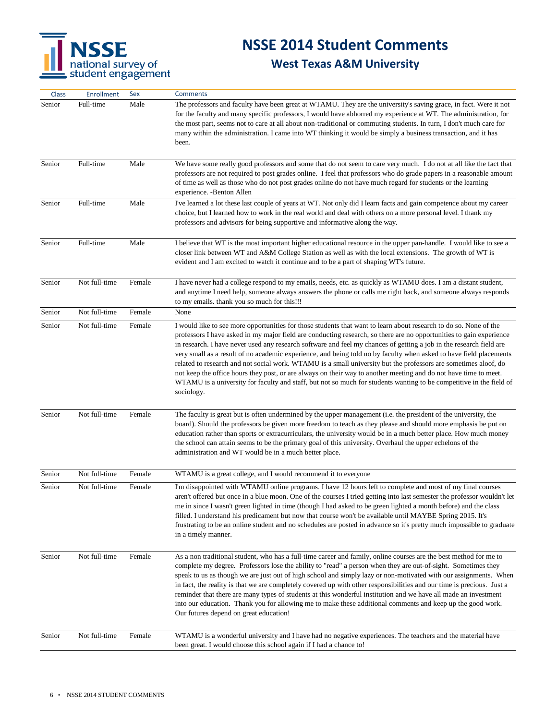

| Class  | Enrollment    | Sex    | <b>Comments</b>                                                                                                                                                                                                                                                                                                                                                                                                                                                                                                                                                                                                                                                                                                                                                                                                                                                   |
|--------|---------------|--------|-------------------------------------------------------------------------------------------------------------------------------------------------------------------------------------------------------------------------------------------------------------------------------------------------------------------------------------------------------------------------------------------------------------------------------------------------------------------------------------------------------------------------------------------------------------------------------------------------------------------------------------------------------------------------------------------------------------------------------------------------------------------------------------------------------------------------------------------------------------------|
| Senior | Full-time     | Male   | The professors and faculty have been great at WTAMU. They are the university's saving grace, in fact. Were it not<br>for the faculty and many specific professors, I would have abhorred my experience at WT. The administration, for<br>the most part, seems not to care at all about non-traditional or commuting students. In turn, I don't much care for<br>many within the administration. I came into WT thinking it would be simply a business transaction, and it has<br>been.                                                                                                                                                                                                                                                                                                                                                                            |
| Senior | Full-time     | Male   | We have some really good professors and some that do not seem to care very much. I do not at all like the fact that<br>professors are not required to post grades online. I feel that professors who do grade papers in a reasonable amount<br>of time as well as those who do not post grades online do not have much regard for students or the learning<br>experience. - Benton Allen                                                                                                                                                                                                                                                                                                                                                                                                                                                                          |
| Senior | Full-time     | Male   | I've learned a lot these last couple of years at WT. Not only did I learn facts and gain competence about my career<br>choice, but I learned how to work in the real world and deal with others on a more personal level. I thank my<br>professors and advisors for being supportive and informative along the way.                                                                                                                                                                                                                                                                                                                                                                                                                                                                                                                                               |
| Senior | Full-time     | Male   | I believe that WT is the most important higher educational resource in the upper pan-handle. I would like to see a<br>closer link between WT and A&M College Station as well as with the local extensions. The growth of WT is<br>evident and I am excited to watch it continue and to be a part of shaping WT's future.                                                                                                                                                                                                                                                                                                                                                                                                                                                                                                                                          |
| Senior | Not full-time | Female | I have never had a college respond to my emails, needs, etc. as quickly as WTAMU does. I am a distant student,<br>and anytime I need help, someone always answers the phone or calls me right back, and someone always responds<br>to my emails. thank you so much for this!!!                                                                                                                                                                                                                                                                                                                                                                                                                                                                                                                                                                                    |
| Senior | Not full-time | Female | None                                                                                                                                                                                                                                                                                                                                                                                                                                                                                                                                                                                                                                                                                                                                                                                                                                                              |
| Senior | Not full-time | Female | I would like to see more opportunities for those students that want to learn about research to do so. None of the<br>professors I have asked in my major field are conducting research, so there are no opportunities to gain experience<br>in research. I have never used any research software and feel my chances of getting a job in the research field are<br>very small as a result of no academic experience, and being told no by faculty when asked to have field placements<br>related to research and not social work. WTAMU is a small university but the professors are sometimes aloof, do<br>not keep the office hours they post, or are always on their way to another meeting and do not have time to meet.<br>WTAMU is a university for faculty and staff, but not so much for students wanting to be competitive in the field of<br>sociology. |
| Senior | Not full-time | Female | The faculty is great but is often undermined by the upper management (i.e. the president of the university, the<br>board). Should the professors be given more freedom to teach as they please and should more emphasis be put on<br>education rather than sports or extracurriculars, the university would be in a much better place. How much money<br>the school can attain seems to be the primary goal of this university. Overhaul the upper echelons of the<br>administration and WT would be in a much better place.                                                                                                                                                                                                                                                                                                                                      |
| Senior | Not full-time | Female | WTAMU is a great college, and I would recommend it to everyone                                                                                                                                                                                                                                                                                                                                                                                                                                                                                                                                                                                                                                                                                                                                                                                                    |
| Senior | Not full-time | Female | I'm disappointed with WTAMU online programs. I have 12 hours left to complete and most of my final courses<br>aren't offered but once in a blue moon. One of the courses I tried getting into last semester the professor wouldn't let<br>me in since I wasn't green lighted in time (though I had asked to be green lighted a month before) and the class<br>filled. I understand his predicament but now that course won't be available until MAYBE Spring 2015. It's<br>frustrating to be an online student and no schedules are posted in advance so it's pretty much impossible to graduate<br>in a timely manner.                                                                                                                                                                                                                                           |
| Senior | Not full-time | Female | As a non traditional student, who has a full-time career and family, online courses are the best method for me to<br>complete my degree. Professors lose the ability to "read" a person when they are out-of-sight. Sometimes they<br>speak to us as though we are just out of high school and simply lazy or non-motivated with our assignments. When<br>in fact, the reality is that we are completely covered up with other responsibilities and our time is precious. Just a<br>reminder that there are many types of students at this wonderful institution and we have all made an investment<br>into our education. Thank you for allowing me to make these additional comments and keep up the good work.<br>Our futures depend on great education!                                                                                                       |
| Senior | Not full-time | Female | WTAMU is a wonderful university and I have had no negative experiences. The teachers and the material have<br>been great. I would choose this school again if I had a chance to!                                                                                                                                                                                                                                                                                                                                                                                                                                                                                                                                                                                                                                                                                  |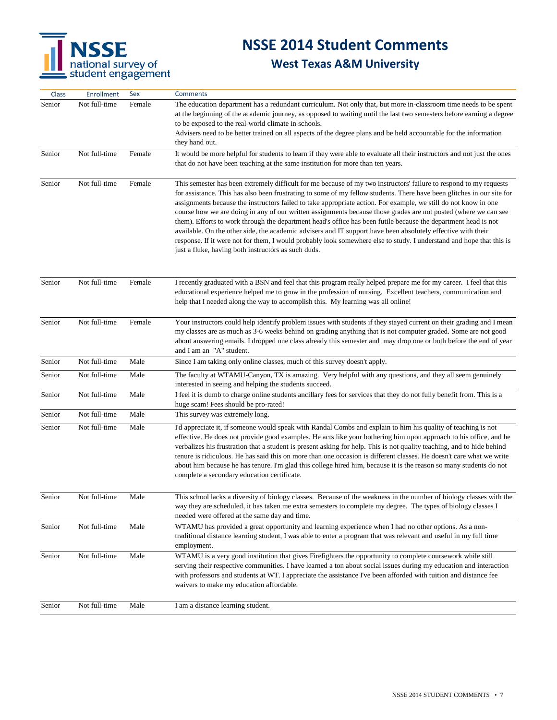

| <b>Class</b> | <b>Enrollment</b> | Sex    | <b>Comments</b>                                                                                                                                                                                                                                                                                                                                                                                                                                                                                                                                                                                                                                                                                                                                                                                                                                                                                     |
|--------------|-------------------|--------|-----------------------------------------------------------------------------------------------------------------------------------------------------------------------------------------------------------------------------------------------------------------------------------------------------------------------------------------------------------------------------------------------------------------------------------------------------------------------------------------------------------------------------------------------------------------------------------------------------------------------------------------------------------------------------------------------------------------------------------------------------------------------------------------------------------------------------------------------------------------------------------------------------|
| Senior       | Not full-time     | Female | The education department has a redundant curriculum. Not only that, but more in-classroom time needs to be spent<br>at the beginning of the academic journey, as opposed to waiting until the last two semesters before earning a degree<br>to be exposed to the real-world climate in schools.<br>Advisers need to be better trained on all aspects of the degree plans and be held accountable for the information<br>they hand out.                                                                                                                                                                                                                                                                                                                                                                                                                                                              |
| Senior       | Not full-time     | Female | It would be more helpful for students to learn if they were able to evaluate all their instructors and not just the ones<br>that do not have been teaching at the same institution for more than ten years.                                                                                                                                                                                                                                                                                                                                                                                                                                                                                                                                                                                                                                                                                         |
| Senior       | Not full-time     | Female | This semester has been extremely difficult for me because of my two instructors' failure to respond to my requests<br>for assistance. This has also been frustrating to some of my fellow students. There have been glitches in our site for<br>assignments because the instructors failed to take appropriate action. For example, we still do not know in one<br>course how we are doing in any of our written assignments because those grades are not posted (where we can see<br>them). Efforts to work through the department head's office has been futile because the department head is not<br>available. On the other side, the academic advisers and IT support have been absolutely effective with their<br>response. If it were not for them, I would probably look somewhere else to study. I understand and hope that this is<br>just a fluke, having both instructors as such duds. |
| Senior       | Not full-time     | Female | I recently graduated with a BSN and feel that this program really helped prepare me for my career. I feel that this<br>educational experience helped me to grow in the profession of nursing. Excellent teachers, communication and<br>help that I needed along the way to accomplish this. My learning was all online!                                                                                                                                                                                                                                                                                                                                                                                                                                                                                                                                                                             |
| Senior       | Not full-time     | Female | Your instructors could help identify problem issues with students if they stayed current on their grading and I mean<br>my classes are as much as 3-6 weeks behind on grading anything that is not computer graded. Some are not good<br>about answering emails. I dropped one class already this semester and may drop one or both before the end of year<br>and I am an "A" student.                                                                                                                                                                                                                                                                                                                                                                                                                                                                                                              |
| Senior       | Not full-time     | Male   | Since I am taking only online classes, much of this survey doesn't apply.                                                                                                                                                                                                                                                                                                                                                                                                                                                                                                                                                                                                                                                                                                                                                                                                                           |
| Senior       | Not full-time     | Male   | The faculty at WTAMU-Canyon, TX is amazing. Very helpful with any questions, and they all seem genuinely<br>interested in seeing and helping the students succeed.                                                                                                                                                                                                                                                                                                                                                                                                                                                                                                                                                                                                                                                                                                                                  |
| Senior       | Not full-time     | Male   | I feel it is dumb to charge online students ancillary fees for services that they do not fully benefit from. This is a<br>huge scam! Fees should be pro-rated!                                                                                                                                                                                                                                                                                                                                                                                                                                                                                                                                                                                                                                                                                                                                      |
| Senior       | Not full-time     | Male   | This survey was extremely long.                                                                                                                                                                                                                                                                                                                                                                                                                                                                                                                                                                                                                                                                                                                                                                                                                                                                     |
| Senior       | Not full-time     | Male   | I'd appreciate it, if someone would speak with Randal Combs and explain to him his quality of teaching is not<br>effective. He does not provide good examples. He acts like your bothering him upon approach to his office, and he<br>verbalizes his frustration that a student is present asking for help. This is not quality teaching, and to hide behind<br>tenure is ridiculous. He has said this on more than one occasion is different classes. He doesn't care what we write<br>about him because he has tenure. I'm glad this college hired him, because it is the reason so many students do not<br>complete a secondary education certificate.                                                                                                                                                                                                                                           |
| Senior       | Not full-time     | Male   | This school lacks a diversity of biology classes. Because of the weakness in the number of biology classes with the<br>way they are scheduled, it has taken me extra semesters to complete my degree. The types of biology classes I<br>needed were offered at the same day and time.                                                                                                                                                                                                                                                                                                                                                                                                                                                                                                                                                                                                               |
| Senior       | Not full-time     | Male   | WTAMU has provided a great opportunity and learning experience when I had no other options. As a non-<br>traditional distance learning student, I was able to enter a program that was relevant and useful in my full time<br>employment.                                                                                                                                                                                                                                                                                                                                                                                                                                                                                                                                                                                                                                                           |
| Senior       | Not full-time     | Male   | WTAMU is a very good institution that gives Firefighters the opportunity to complete coursework while still<br>serving their respective communities. I have learned a ton about social issues during my education and interaction<br>with professors and students at WT. I appreciate the assistance I've been afforded with tuition and distance fee<br>waivers to make my education affordable.                                                                                                                                                                                                                                                                                                                                                                                                                                                                                                   |
| Senior       | Not full-time     | Male   | I am a distance learning student.                                                                                                                                                                                                                                                                                                                                                                                                                                                                                                                                                                                                                                                                                                                                                                                                                                                                   |
|              |                   |        |                                                                                                                                                                                                                                                                                                                                                                                                                                                                                                                                                                                                                                                                                                                                                                                                                                                                                                     |